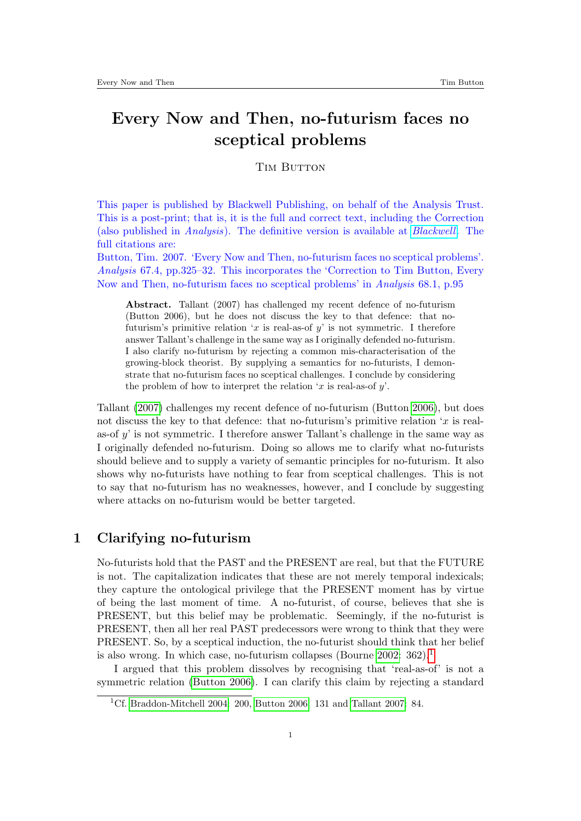# Every Now and Then, no-futurism faces no sceptical problems

#### TIM BUTTON

This paper is published by Blackwell Publishing, on behalf of the Analysis Trust. This is a post-print; that is, it is the full and correct text, including the Correction (also published in Analysis). The definitive version is available at [Blackwell](http://www.blackwell-synergy.com/). The full citations are:

Button, Tim. 2007. 'Every Now and Then, no-futurism faces no sceptical problems'. Analysis 67.4, pp.325–32. This incorporates the 'Correction to Tim Button, Every Now and Then, no-futurism faces no sceptical problems' in Analysis 68.1, p.95

Abstract. Tallant (2007) has challenged my recent defence of no-futurism (Button 2006), but he does not discuss the key to that defence: that nofuturism's primitive relation 'x is real-as-of  $y'$  is not symmetric. I therefore answer Tallant's challenge in the same way as I originally defended no-futurism. I also clarify no-futurism by rejecting a common mis-characterisation of the growing-block theorist. By supplying a semantics for no-futurists, I demonstrate that no-futurism faces no sceptical challenges. I conclude by considering the problem of how to interpret the relation  $x$  is real-as-of  $y'$ .

Tallant [\(2007\)](#page-6-0) challenges my recent defence of no-futurism (Button [2006\)](#page-6-1), but does not discuss the key to that defence: that no-futurism's primitive relation  $x$  is realas-of  $y'$  is not symmetric. I therefore answer Tallant's challenge in the same way as I originally defended no-futurism. Doing so allows me to clarify what no-futurists should believe and to supply a variety of semantic principles for no-futurism. It also shows why no-futurists have nothing to fear from sceptical challenges. This is not to say that no-futurism has no weaknesses, however, and I conclude by suggesting where attacks on no-futurism would be better targeted.

### <span id="page-0-1"></span>1 Clarifying no-futurism

No-futurists hold that the PAST and the PRESENT are real, but that the FUTURE is not. The capitalization indicates that these are not merely temporal indexicals; they capture the ontological privilege that the PRESENT moment has by virtue of being the last moment of time. A no-futurist, of course, believes that she is PRESENT, but this belief may be problematic. Seemingly, if the no-futurist is PRESENT, then all her real PAST predecessors were wrong to think that they were PRESENT. So, by a sceptical induction, the no-futurist should think that her belief is also wrong. In which case, no-futurism collapses (Bourne [2002:](#page-6-2)  $362$ ).<sup>[1](#page-0-0)</sup>

I argued that this problem dissolves by recognising that 'real-as-of' is not a symmetric relation [\(Button 2006\)](#page-6-1). I can clarify this claim by rejecting a standard

<span id="page-0-0"></span><sup>&</sup>lt;sup>1</sup>Cf. [Braddon-Mitchell 2004:](#page-6-3) 200, [Button 2006:](#page-6-1) 131 and [Tallant 2007:](#page-6-0) 84.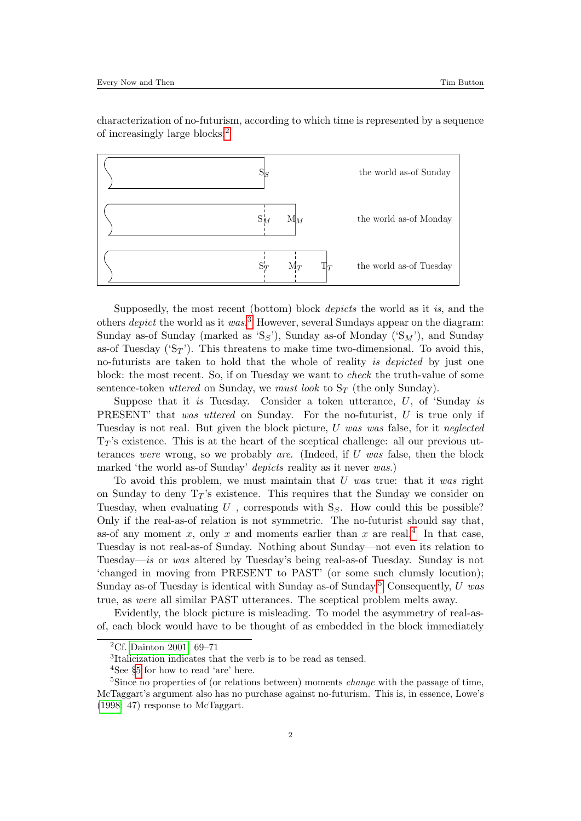

characterization of no-futurism, according to which time is represented by a sequence of increasingly large blocks:[2](#page-1-0)

Supposedly, the most recent (bottom) block *depicts* the world as it is, and the others *depict* the world as it  $was$ <sup>[3](#page-1-1)</sup> However, several Sundays appear on the diagram: Sunday as-of Sunday (marked as 'S<sub>S</sub>'), Sunday as-of Monday ('S<sub>M</sub>'), and Sunday as-of Tuesday  $(S_T)$ . This threatens to make time two-dimensional. To avoid this, no-futurists are taken to hold that the whole of reality is depicted by just one block: the most recent. So, if on Tuesday we want to check the truth-value of some sentence-token *uttered* on Sunday, we *must look* to  $S_T$  (the only Sunday).

Suppose that it is Tuesday. Consider a token utterance,  $U$ , of 'Sunday is PRESENT' that was uttered on Sunday. For the no-futurist, U is true only if Tuesday is not real. But given the block picture,  $U$  was was false, for it neglected  $T<sub>T</sub>$ 's existence. This is at the heart of the sceptical challenge: all our previous utterances were wrong, so we probably are. (Indeed, if U was false, then the block marked 'the world as-of Sunday' depicts reality as it never was.)

To avoid this problem, we must maintain that  $U$  was true: that it was right on Sunday to deny  $T_T$ 's existence. This requires that the Sunday we consider on Tuesday, when evaluating  $U$ , corresponds with  $S_S$ . How could this be possible? Only if the real-as-of relation is not symmetric. The no-futurist should say that, as-of any moment x, only x and moments earlier than x are real.<sup>[4](#page-1-2)</sup> In that case, Tuesday is not real-as-of Sunday. Nothing about Sunday—not even its relation to Tuesday—is or was altered by Tuesday's being real-as-of Tuesday. Sunday is not 'changed in moving from PRESENT to PAST' (or some such clumsly locution); Sunday as-of Tuesday is identical with Sunday as-of Sunday.<sup>[5](#page-1-3)</sup> Consequently, U was true, as were all similar PAST utterances. The sceptical problem melts away.

Evidently, the block picture is misleading. To model the asymmetry of real-asof, each block would have to be thought of as embedded in the block immediately

<span id="page-1-0"></span><sup>2</sup>Cf. [Dainton 2001:](#page-6-4) 69–71

<span id="page-1-1"></span><sup>3</sup> Italicization indicates that the verb is to be read as tensed.

<span id="page-1-3"></span><span id="page-1-2"></span><sup>4</sup>See §[5](#page-5-0) for how to read 'are' here.

<sup>&</sup>lt;sup>5</sup>Since no properties of (or relations between) moments *change* with the passage of time. McTaggart's argument also has no purchase against no-futurism. This is, in essence, Lowe's [\(1998:](#page-6-5) 47) response to McTaggart.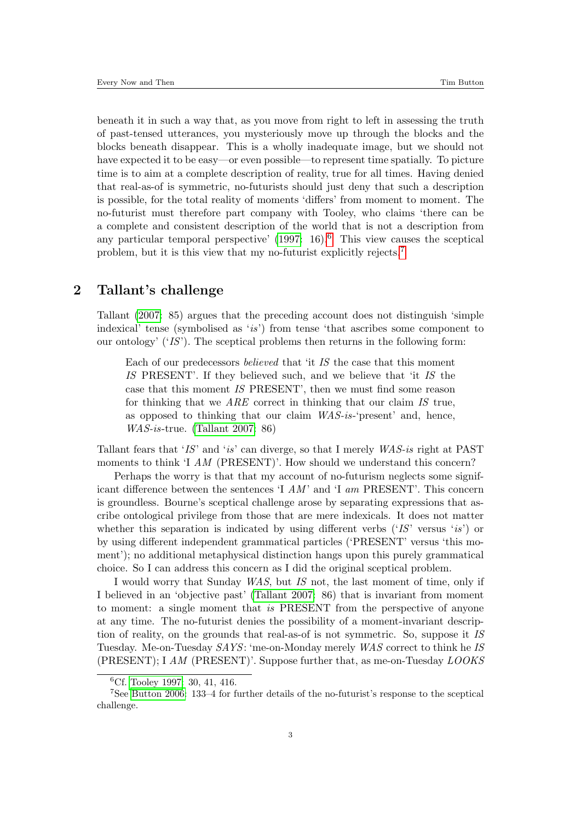beneath it in such a way that, as you move from right to left in assessing the truth of past-tensed utterances, you mysteriously move up through the blocks and the blocks beneath disappear. This is a wholly inadequate image, but we should not have expected it to be easy—or even possible—to represent time spatially. To picture time is to aim at a complete description of reality, true for all times. Having denied that real-as-of is symmetric, no-futurists should just deny that such a description is possible, for the total reality of moments 'differs' from moment to moment. The no-futurist must therefore part company with Tooley, who claims 'there can be a complete and consistent description of the world that is not a description from any particular temporal perspective'  $(1997: 16)^6$  $(1997: 16)^6$  $(1997: 16)^6$  $(1997: 16)^6$  This view causes the sceptical problem, but it is this view that my no-futurist explicitly rejects.[7](#page-2-1)

## 2 Tallant's challenge

Tallant [\(2007:](#page-6-0) 85) argues that the preceding account does not distinguish 'simple indexical' tense (symbolised as 'is') from tense 'that ascribes some component to our ontology'  $(1S)$ . The sceptical problems then returns in the following form:

Each of our predecessors believed that 'it IS the case that this moment IS PRESENT'. If they believed such, and we believe that 'it IS the case that this moment IS PRESENT', then we must find some reason for thinking that we  $ARE$  correct in thinking that our claim IS true, as opposed to thinking that our claim WAS-is-'present' and, hence, WAS-is-true. [\(Tallant 2007:](#page-6-0) 86)

Tallant fears that ' $IS'$  and 'is' can diverge, so that I merely  $WAS$ -is right at PAST moments to think 'I AM (PRESENT)'. How should we understand this concern?

Perhaps the worry is that that my account of no-futurism neglects some significant difference between the sentences 'I  $AM$ ' and 'I am PRESENT'. This concern is groundless. Bourne's sceptical challenge arose by separating expressions that ascribe ontological privilege from those that are mere indexicals. It does not matter whether this separation is indicated by using different verbs  $('IS'$  versus 'is') or by using different independent grammatical particles ('PRESENT' versus 'this moment'); no additional metaphysical distinction hangs upon this purely grammatical choice. So I can address this concern as I did the original sceptical problem.

I would worry that Sunday WAS, but IS not, the last moment of time, only if I believed in an 'objective past' [\(Tallant 2007:](#page-6-0) 86) that is invariant from moment to moment: a single moment that is PRESENT from the perspective of anyone at any time. The no-futurist denies the possibility of a moment-invariant description of reality, on the grounds that real-as-of is not symmetric. So, suppose it IS Tuesday. Me-on-Tuesday SAYS: 'me-on-Monday merely WAS correct to think he IS (PRESENT); I AM (PRESENT)'. Suppose further that, as me-on-Tuesday LOOKS

<span id="page-2-1"></span><span id="page-2-0"></span><sup>6</sup>Cf. [Tooley 1997:](#page-6-6) 30, 41, 416.

<sup>7</sup>See [Button 2006:](#page-6-1) 133–4 for further details of the no-futurist's response to the sceptical challenge.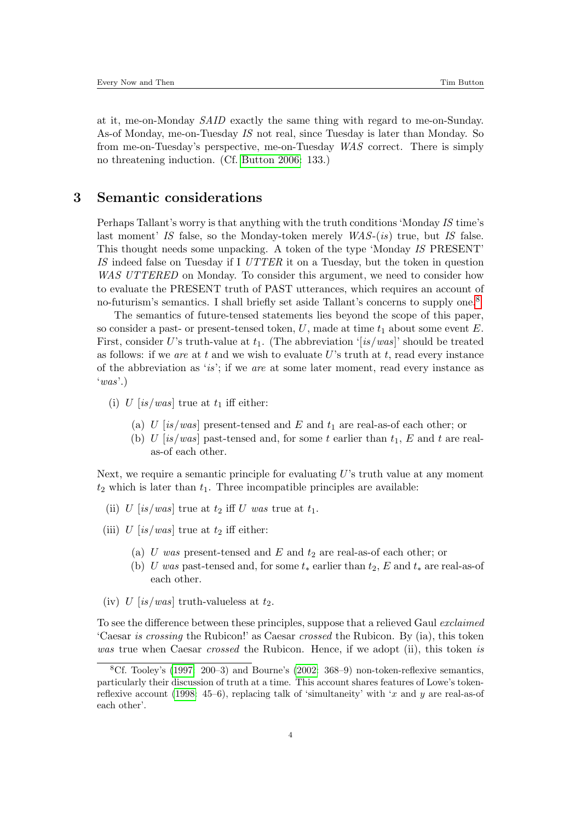at it, me-on-Monday SAID exactly the same thing with regard to me-on-Sunday. As-of Monday, me-on-Tuesday IS not real, since Tuesday is later than Monday. So from me-on-Tuesday's perspective, me-on-Tuesday WAS correct. There is simply no threatening induction. (Cf. [Button 2006:](#page-6-1) 133.)

### 3 Semantic considerations

Perhaps Tallant's worry is that anything with the truth conditions 'Monday IS time's last moment' IS false, so the Monday-token merely  $WAS-(is)$  true, but IS false. This thought needs some unpacking. A token of the type 'Monday IS PRESENT' IS indeed false on Tuesday if I UTTER it on a Tuesday, but the token in question WAS UTTERED on Monday. To consider this argument, we need to consider how to evaluate the PRESENT truth of PAST utterances, which requires an account of no-futurism's semantics. I shall briefly set aside Tallant's concerns to supply one.<sup>[8](#page-3-0)</sup>

The semantics of future-tensed statements lies beyond the scope of this paper, so consider a past- or present-tensed token,  $U$ , made at time  $t_1$  about some event  $E$ . First, consider U's truth-value at  $t_1$ . (The abbreviation '[is/was]' should be treated as follows: if we are at t and we wish to evaluate U's truth at t, read every instance of the abbreviation as 'is'; if we are at some later moment, read every instance as  $(was')$ 

- (i) U [is/was] true at  $t_1$  iff either:
	- (a) U [is/was] present-tensed and E and  $t_1$  are real-as-of each other; or
	- (b) U [is/was] past-tensed and, for some t earlier than  $t_1$ , E and t are realas-of each other.

Next, we require a semantic principle for evaluating  $U$ 's truth value at any moment  $t_2$  which is later than  $t_1$ . Three incompatible principles are available:

- (ii) U [is/was] true at  $t_2$  iff U was true at  $t_1$ .
- (iii) U [is/was] true at  $t_2$  iff either:
	- (a) U was present-tensed and E and  $t_2$  are real-as-of each other; or
	- (b) U was past-tensed and, for some  $t_*$  earlier than  $t_2$ , E and  $t_*$  are real-as-of each other.
- (iv) U [is/was] truth-valueless at  $t_2$ .

To see the difference between these principles, suppose that a relieved Gaul exclaimed 'Caesar is crossing the Rubicon!' as Caesar crossed the Rubicon. By (ia), this token was true when Caesar *crossed* the Rubicon. Hence, if we adopt (ii), this token is

<span id="page-3-0"></span> ${}^{8}$ Cf. Tooley's [\(1997:](#page-6-6) 200-3) and Bourne's [\(2002:](#page-6-2) 368-9) non-token-reflexive semantics, particularly their discussion of truth at a time. This account shares features of Lowe's token-reflexive account [\(1998:](#page-6-5) 45–6), replacing talk of 'simultaneity' with 'x and y are real-as-of each other'.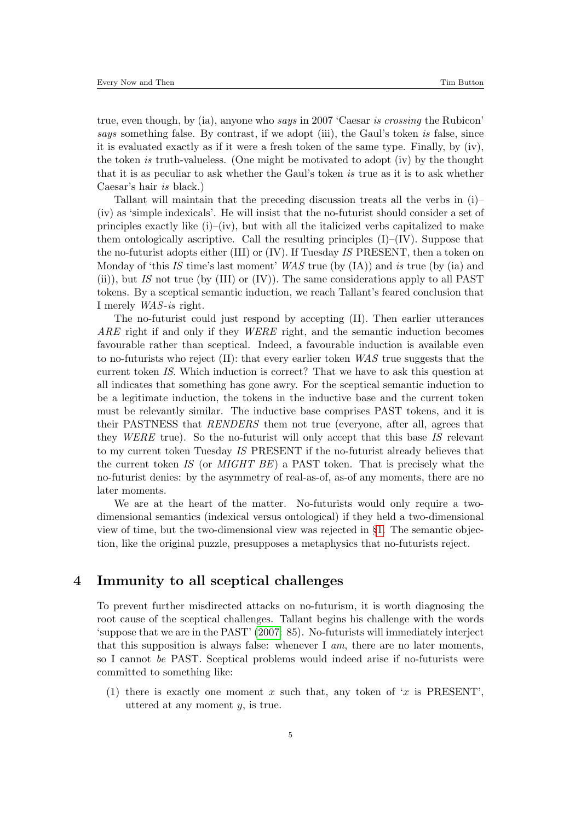true, even though, by (ia), anyone who says in 2007 'Caesar is crossing the Rubicon' says something false. By contrast, if we adopt (iii), the Gaul's token is false, since it is evaluated exactly as if it were a fresh token of the same type. Finally, by (iv), the token is truth-valueless. (One might be motivated to adopt (iv) by the thought that it is as peculiar to ask whether the Gaul's token is true as it is to ask whether Caesar's hair is black.)

Tallant will maintain that the preceding discussion treats all the verbs in (i)– (iv) as 'simple indexicals'. He will insist that the no-futurist should consider a set of principles exactly like  $(i)$ – $(iv)$ , but with all the italicized verbs capitalized to make them ontologically ascriptive. Call the resulting principles  $(I)$ – $(IV)$ . Suppose that the no-futurist adopts either (III) or (IV). If Tuesday IS PRESENT, then a token on Monday of 'this IS time's last moment' WAS true (by  $(IA)$ ) and is true (by (ia) and (ii)), but IS not true (by  $(III)$  or  $(IV)$ ). The same considerations apply to all PAST tokens. By a sceptical semantic induction, we reach Tallant's feared conclusion that I merely WAS-is right.

The no-futurist could just respond by accepting (II). Then earlier utterances ARE right if and only if they WERE right, and the semantic induction becomes favourable rather than sceptical. Indeed, a favourable induction is available even to no-futurists who reject  $(II)$ : that every earlier token  $WAS$  true suggests that the current token IS. Which induction is correct? That we have to ask this question at all indicates that something has gone awry. For the sceptical semantic induction to be a legitimate induction, the tokens in the inductive base and the current token must be relevantly similar. The inductive base comprises PAST tokens, and it is their PASTNESS that RENDERS them not true (everyone, after all, agrees that they WERE true). So the no-futurist will only accept that this base IS relevant to my current token Tuesday IS PRESENT if the no-futurist already believes that the current token IS (or MIGHT BE) a PAST token. That is precisely what the no-futurist denies: by the asymmetry of real-as-of, as-of any moments, there are no later moments.

We are at the heart of the matter. No-futurists would only require a twodimensional semantics (indexical versus ontological) if they held a two-dimensional view of time, but the two-dimensional view was rejected in §[1.](#page-0-1) The semantic objection, like the original puzzle, presupposes a metaphysics that no-futurists reject.

#### 4 Immunity to all sceptical challenges

To prevent further misdirected attacks on no-futurism, it is worth diagnosing the root cause of the sceptical challenges. Tallant begins his challenge with the words 'suppose that we are in the PAST' [\(2007:](#page-6-0) 85). No-futurists will immediately interject that this supposition is always false: whenever I  $am$ , there are no later moments, so I cannot be PAST. Sceptical problems would indeed arise if no-futurists were committed to something like:

(1) there is exactly one moment x such that, any token of 'x is PRESENT'. uttered at any moment  $y$ , is true.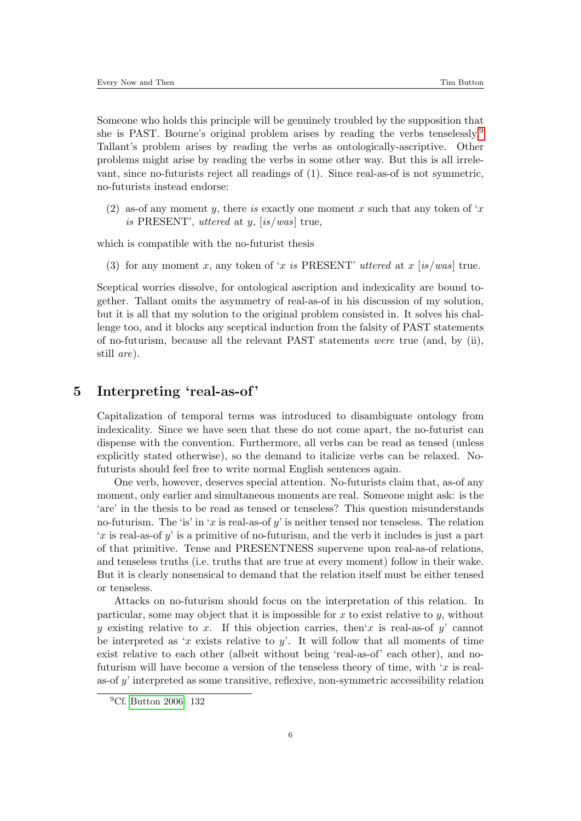Someone who holds this principle will be genuinely troubled by the supposition that she is PAST. Bourne's original problem arises by reading the verbs tenselessly.<sup>[9](#page-5-1)</sup> Tallant's problem arises by reading the verbs as ontologically-ascriptive. Other problems might arise by reading the verbs in some other way. But this is all irrelevant, since no-futurists reject all readings of (1). Since real-as-of is not symmetric, no-futurists instead endorse:

(2) as-of any moment y, there is exactly one moment x such that any token of 'x is PRESENT', uttered at  $y$ , [is/was] true,

which is compatible with the no-futurist thesis

(3) for any moment x, any token of 'x is PRESENT' uttered at x [is/was] true.

Sceptical worries dissolve, for ontological ascription and indexicality are bound together. Tallant omits the asymmetry of real-as-of in his discussion of my solution, but it is all that my solution to the original problem consisted in. It solves his challenge too, and it blocks any sceptical induction from the falsity of PAST statements of no-futurism, because all the relevant PAST statements were true (and, by (ii), still are).

## <span id="page-5-0"></span>5 Interpreting 'real-as-of '

Capitalization of temporal terms was introduced to disambiguate ontology from indexicality. Since we have seen that these do not come apart, the no-futurist can dispense with the convention. Furthermore, all verbs can be read as tensed (unless explicitly stated otherwise), so the demand to italicize verbs can be relaxed. Nofuturists should feel free to write normal English sentences again.

One verb, however, deserves special attention. No-futurists claim that, as-of any moment, only earlier and simultaneous moments are real. Someone might ask: is the 'are' in the thesis to be read as tensed or tenseless? This question misunderstands no-futurism. The 'is' in 'x is real-as-of  $y'$  is neither tensed nor tenseless. The relation  $x$  is real-as-of y' is a primitive of no-futurism, and the verb it includes is just a part of that primitive. Tense and PRESENTNESS supervene upon real-as-of relations, and tenseless truths (i.e. truths that are true at every moment) follow in their wake. But it is clearly nonsensical to demand that the relation itself must be either tensed or tenseless.

Attacks on no-futurism should focus on the interpretation of this relation. In particular, some may object that it is impossible for  $x$  to exist relative to  $y$ , without y existing relative to x. If this objection carries, then'x is real-as-of y' cannot be interpreted as 'x exists relative to y'. It will follow that all moments of time exist relative to each other (albeit without being 'real-as-of' each other), and nofuturism will have become a version of the tenseless theory of time, with 'x is realas-of y' interpreted as some transitive, reflexive, non-symmetric accessibility relation

<span id="page-5-1"></span><sup>9</sup>Cf. [Button 2006:](#page-6-1) 132